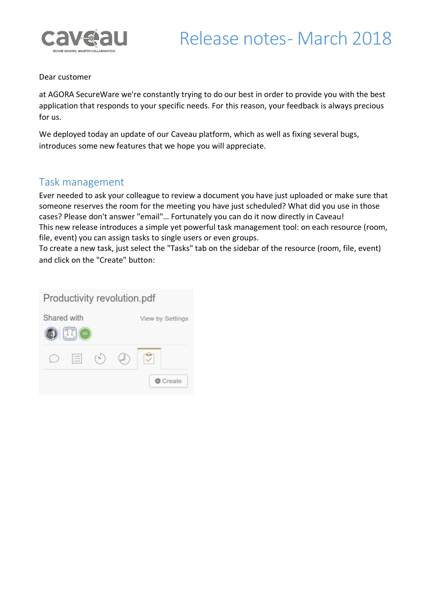

#### Dear customer

at AGORA SecureWare we're constantly trying to do our best in order to provide you with the best application that responds to your specific needs. For this reason, your feedback is always precious for us.

We deployed today an update of our Caveau platform, which as well as fixing several bugs, introduces some new features that we hope you will appreciate.

#### Task management

Ever needed to ask your colleague to review a document you have just uploaded or make sure that someone reserves the room for the meeting you have just scheduled? What did you use in those cases? Please don't answer "email"… Fortunately you can do it now directly in Caveau! This new release introduces a simple yet powerful task management tool: on each resource (room, file, event) you can assign tasks to single users or even groups.

To create a new task, just select the "Tasks" tab on the sidebar of the resource (room, file, event) and click on the "Create" button:

| Productivity revolution.pdf |      |                  |  |        |  |  |  |  |
|-----------------------------|------|------------------|--|--------|--|--|--|--|
| Shared with                 |      | View by Settings |  |        |  |  |  |  |
| $\mathbf{R}$ $\mathbf{C}$   |      |                  |  |        |  |  |  |  |
|                             | $:=$ | $(\sim)$         |  |        |  |  |  |  |
|                             |      |                  |  | Create |  |  |  |  |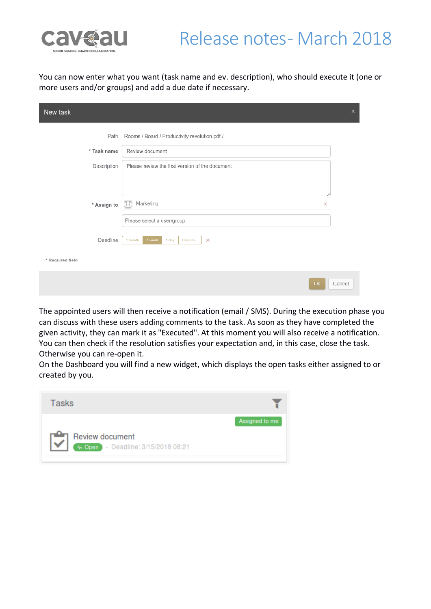

# Release notes - March 2018

You can now enter what you want (task name and ev. description), who should execute it (one or more users and/or groups) and add a due date if necessary.

| New task         | $\times$                                         |
|------------------|--------------------------------------------------|
| Path             | Rooms / Board / Productivity revolution.pdf /    |
| * Task name      | Review document                                  |
| Description      | Please review the first version of the document  |
| * Assign to      | <b>II</b> Marketing<br>$\times$                  |
|                  | Please select a user/group                       |
| Deadline         | 1 week<br>1 day<br>Custom<br>$\times$<br>1 month |
| * Required field |                                                  |
|                  | Ok<br>Cancel                                     |

The appointed users will then receive a notification (email / SMS). During the execution phase you can discuss with these users adding comments to the task. As soon as they have completed the given activity, they can mark it as "Executed". At this moment you will also receive a notification. You can then check if the resolution satisfies your expectation and, in this case, close the task. Otherwise you can re-open it.

On the Dashboard you will find a new widget, which displays the open tasks either assigned to or created by you.

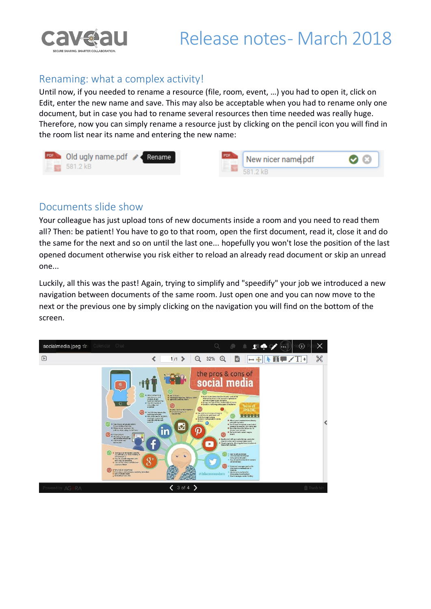

### Renaming: what a complex activity!

Until now, if you needed to rename a resource (file, room, event, …) you had to open it, click on Edit, enter the new name and save. This may also be acceptable when you had to rename only one document, but in case you had to rename several resources then time needed was really huge. Therefore, now you can simply rename a resource just by clicking on the pencil icon you will find in the room list near its name and entering the new name:

| <b>FOR Old ugly name.pdf</b> < Rename<br>$581.2 \text{ kB}$ |  | New nicer name pdf  |  |
|-------------------------------------------------------------|--|---------------------|--|
|                                                             |  | <b>≕ ਸ਼</b> 21 ? ⊬ਸ |  |

### Documents slide show

Your colleague has just upload tons of new documents inside a room and you need to read them all? Then: be patient! You have to go to that room, open the first document, read it, close it and do the same for the next and so on until the last one... hopefully you won't lose the position of the last opened document otherwise you risk either to reload an already read document or skip an unread one...

Luckily, all this was the past! Again, trying to simplify and "speedify" your job we introduced a new navigation between documents of the same room. Just open one and you can now move to the next or the previous one by simply clicking on the navigation you will find on the bottom of the screen.

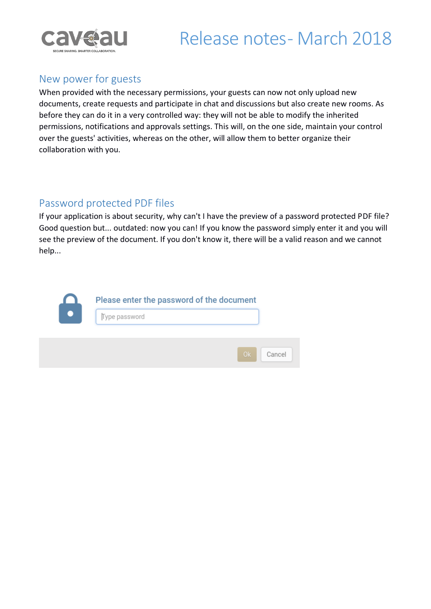

# Release notes-March 2018

### New power for guests

When provided with the necessary permissions, your guests can now not only upload new documents, create requests and participate in chat and discussions but also create new rooms. As before they can do it in a very controlled way: they will not be able to modify the inherited permissions, notifications and approvals settings. This will, on the one side, maintain your control over the guests' activities, whereas on the other, will allow them to better organize their collaboration with you.

### Password protected PDF files

If your application is about security, why can't I have the preview of a password protected PDF file? Good question but... outdated: now you can! If you know the password simply enter it and you will see the preview of the document. If you don't know it, there will be a valid reason and we cannot help...